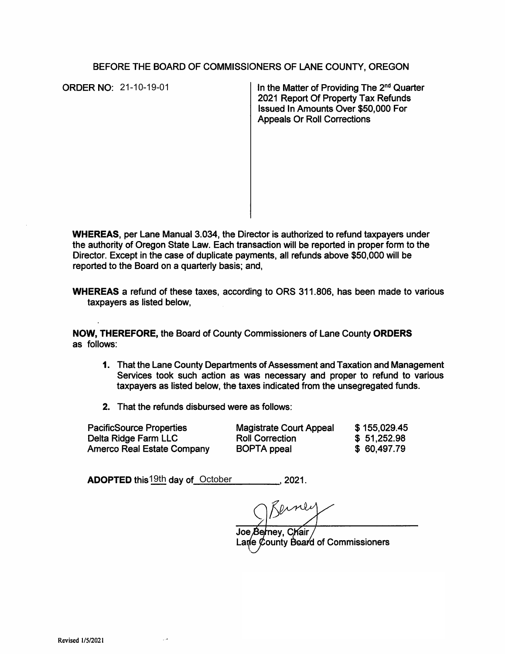## BEFORE THE BOARD OF COMMISSIONERS OF LANE COUNTY, OREGON

**ORDER NO: 21-10-19-01** 

In the Matter of Providing The  $2<sup>nd</sup>$  Quarter 2021 Report Of Property Tax Refunds Issued In Amounts Over \$50,000 For Appeals Or Roll Corrections

**WHEREAS,** per Lane Manual 3.034, the Director is authorized to refund taxpayers under the authority of Oregon State Law. Each transaction will be reported in proper form to the Director. Except in the case of duplicate payments, all refunds above \$50,000 will be reported to the Board on a quarterly basis; and,

**WHEREAS a** refund of these taxes, according to ORS 311.806, has been made to various taxpayers as listed below,

**NOW, THEREFORE,** the Board of County Commissioners of Lane County **ORDERS**  as follows:

- **1.** That the Lane County Departments of Assessment and Taxation and Management Services took such action as was necessary and proper to refund to various taxpayers as listed below, the taxes indicated from the unsegregated funds.
- 2. That the refunds disbursed were as follows:

PacificSource Properties Delta Ridge Farm LLC Amerco Real Estate Company Magistrate Court Appeal Roll Correction BOPTA ppeal \$ 155,029.45 \$ 51,252.98 \$ 60,497.79

**ADOPTED** this 19th day of October 19th 2021.

Joe Berney, Chair Lane County Board of Commissioners